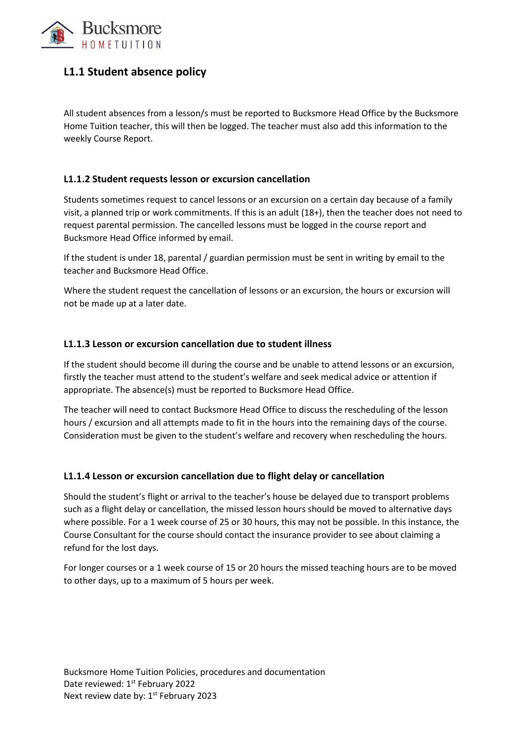

# **L1.1 Student absence policy**

All student absences from a lesson/s must be reported to Bucksmore Head Office by the Bucksmore Home Tuition teacher, this will then be logged. The teacher must also add this information to the weekly Course Report.

## **L1.1.2 Student requests lesson or excursion cancellation**

Students sometimes request to cancel lessons or an excursion on a certain day because of a family visit, a planned trip or work commitments. If this is an adult (18+), then the teacher does not need to request parental permission. The cancelled lessons must be logged in the course report and Bucksmore Head Office informed by email.

If the student is under 18, parental / guardian permission must be sent in writing by email to the teacher and Bucksmore Head Office.

Where the student request the cancellation of lessons or an excursion, the hours or excursion will not be made up at a later date.

## **L1.1.3 Lesson or excursion cancellation due to student illness**

If the student should become ill during the course and be unable to attend lessons or an excursion, firstly the teacher must attend to the student's welfare and seek medical advice or attention if appropriate. The absence(s) must be reported to Bucksmore Head Office.

The teacher will need to contact Bucksmore Head Office to discuss the rescheduling of the lesson hours / excursion and all attempts made to fit in the hours into the remaining days of the course. Consideration must be given to the student's welfare and recovery when rescheduling the hours.

### **L1.1.4 Lesson or excursion cancellation due to flight delay or cancellation**

Should the student's flight or arrival to the teacher's house be delayed due to transport problems such as a flight delay or cancellation, the missed lesson hours should be moved to alternative days where possible. For a 1 week course of 25 or 30 hours, this may not be possible. In this instance, the Course Consultant for the course should contact the insurance provider to see about claiming a refund for the lost days.

For longer courses or a 1 week course of 15 or 20 hours the missed teaching hours are to be moved to other days, up to a maximum of 5 hours per week.

Bucksmore Home Tuition Policies, procedures and documentation Date reviewed: 1st February 2022 Next review date by: 1<sup>st</sup> February 2023